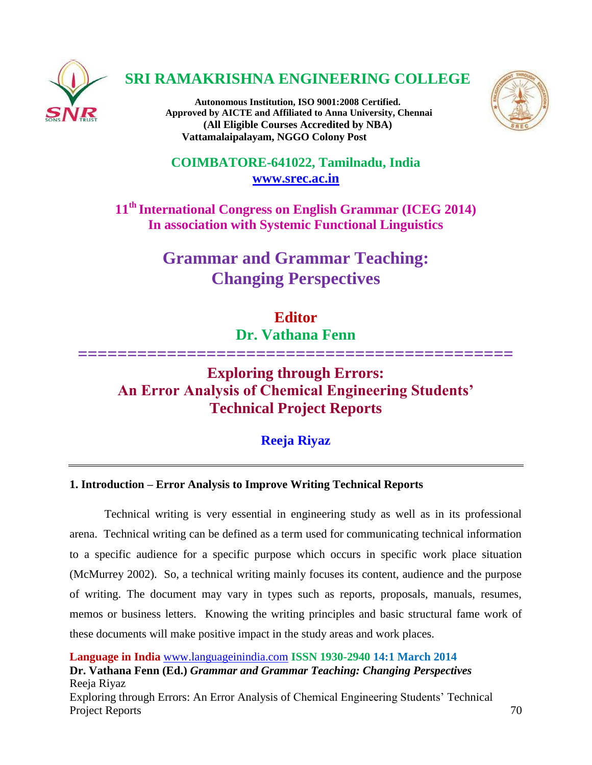

# **SRI RAMAKRISHNA ENGINEERING COLLEGE**

**Autonomous Institution, ISO 9001:2008 Certified. Approved by AICTE and Affiliated to Anna University, Chennai (All Eligible Courses Accredited by NBA) Vattamalaipalayam, NGGO Colony Post**



**COIMBATORE-641022, Tamilnadu, India [www.srec.ac.in](http://www.srec.ac.in/)**

**11th International Congress on English Grammar (ICEG 2014) In association with Systemic Functional Linguistics**

> **Grammar and Grammar Teaching: Changing Perspectives**

# **Editor**

**Dr. Vathana Fenn**

**============================================**

# **Exploring through Errors: An Error Analysis of Chemical Engineering Students' Technical Project Reports**

# **Reeja Riyaz**

# **1. Introduction – Error Analysis to Improve Writing Technical Reports**

Technical writing is very essential in engineering study as well as in its professional arena. Technical writing can be defined as a term used for communicating technical information to a specific audience for a specific purpose which occurs in specific work place situation (McMurrey 2002). So, a technical writing mainly focuses its content, audience and the purpose of writing. The document may vary in types such as reports, proposals, manuals, resumes, memos or business letters. Knowing the writing principles and basic structural fame work of these documents will make positive impact in the study areas and work places.

**Language in India** [www.languageinindia.com](http://www.languageinindia.com/) **ISSN 1930-2940 14:1 March 2014**

**Dr. Vathana Fenn (Ed.)** *Grammar and Grammar Teaching: Changing Perspectives* Reeja Riyaz Exploring through Errors: An Error Analysis of Chemical Engineering Students' Technical

Project Reports 70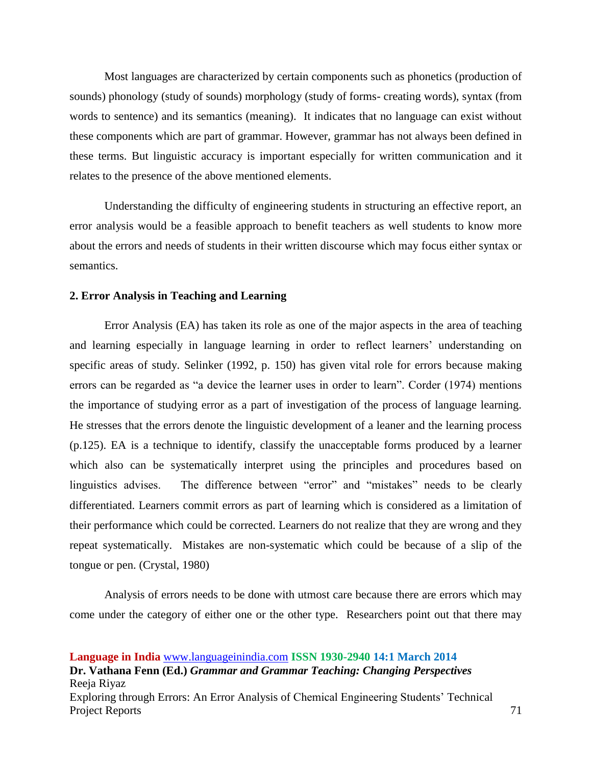Most languages are characterized by certain components such as phonetics (production of sounds) phonology (study of sounds) morphology (study of forms- creating words), syntax (from words to sentence) and its semantics (meaning). It indicates that no language can exist without these components which are part of grammar. However, grammar has not always been defined in these terms. But linguistic accuracy is important especially for written communication and it relates to the presence of the above mentioned elements.

Understanding the difficulty of engineering students in structuring an effective report, an error analysis would be a feasible approach to benefit teachers as well students to know more about the errors and needs of students in their written discourse which may focus either syntax or semantics.

#### **2. Error Analysis in Teaching and Learning**

Error Analysis (EA) has taken its role as one of the major aspects in the area of teaching and learning especially in language learning in order to reflect learners' understanding on specific areas of study. Selinker (1992, p. 150) has given vital role for errors because making errors can be regarded as "a device the learner uses in order to learn". Corder (1974) mentions the importance of studying error as a part of investigation of the process of language learning. He stresses that the errors denote the linguistic development of a leaner and the learning process (p.125). EA is a technique to identify, classify the unacceptable forms produced by a learner which also can be systematically interpret using the principles and procedures based on linguistics advises. The difference between "error" and "mistakes" needs to be clearly differentiated. Learners commit errors as part of learning which is considered as a limitation of their performance which could be corrected. Learners do not realize that they are wrong and they repeat systematically. Mistakes are non-systematic which could be because of a slip of the tongue or pen. (Crystal, 1980)

Analysis of errors needs to be done with utmost care because there are errors which may come under the category of either one or the other type. Researchers point out that there may

#### **Language in India** [www.languageinindia.com](http://www.languageinindia.com/) **ISSN 1930-2940 14:1 March 2014**

**Dr. Vathana Fenn (Ed.)** *Grammar and Grammar Teaching: Changing Perspectives* Reeja Riyaz Exploring through Errors: An Error Analysis of Chemical Engineering Students' Technical Project Reports 71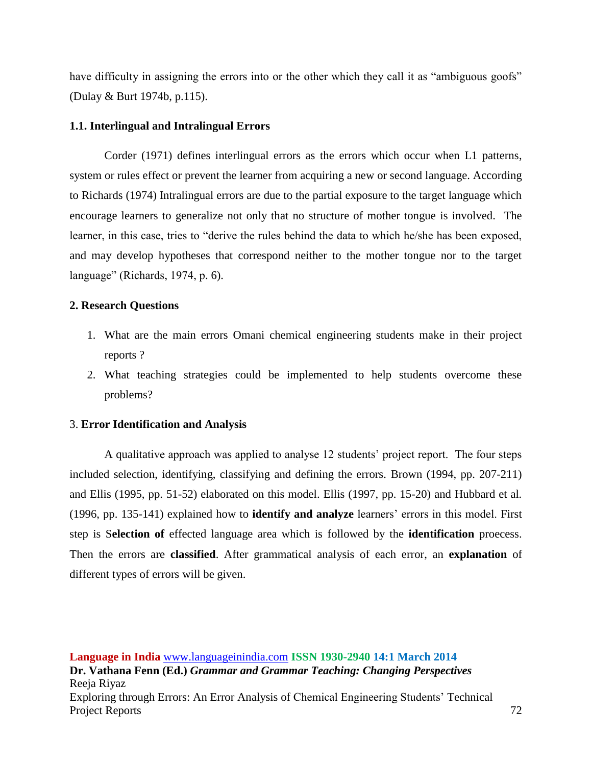have difficulty in assigning the errors into or the other which they call it as "ambiguous goofs" (Dulay & Burt 1974b, p.115).

## **1.1. Interlingual and Intralingual Errors**

Corder (1971) defines interlingual errors as the errors which occur when L1 patterns, system or rules effect or prevent the learner from acquiring a new or second language. According to Richards (1974) Intralingual errors are due to the partial exposure to the target language which encourage learners to generalize not only that no structure of mother tongue is involved. The learner, in this case, tries to "derive the rules behind the data to which he/she has been exposed, and may develop hypotheses that correspond neither to the mother tongue nor to the target language" (Richards, 1974, p. 6).

## **2. Research Questions**

- 1. What are the main errors Omani chemical engineering students make in their project reports ?
- 2. What teaching strategies could be implemented to help students overcome these problems?

#### 3. **Error Identification and Analysis**

A qualitative approach was applied to analyse 12 students' project report. The four steps included selection, identifying, classifying and defining the errors. Brown (1994, pp. 207-211) and Ellis (1995, pp. 51-52) elaborated on this model. Ellis (1997, pp. 15-20) and Hubbard et al*.*  (1996, pp. 135-141) explained how to **identify and analyze** learners' errors in this model. First step is S**election of** effected language area which is followed by the **identification** proecess. Then the errors are **classified**. After grammatical analysis of each error, an **explanation** of different types of errors will be given.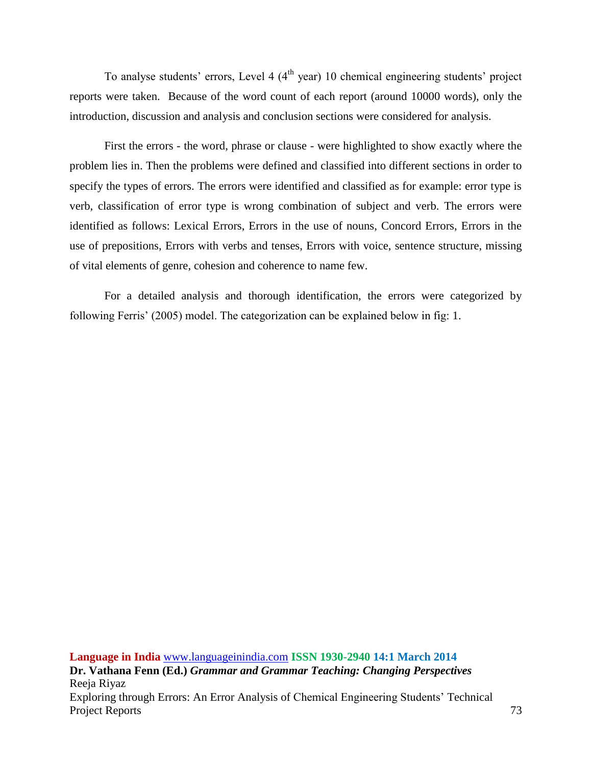To analyse students' errors, Level 4  $(4<sup>th</sup>$  year) 10 chemical engineering students' project reports were taken. Because of the word count of each report (around 10000 words), only the introduction, discussion and analysis and conclusion sections were considered for analysis.

First the errors - the word, phrase or clause - were highlighted to show exactly where the problem lies in. Then the problems were defined and classified into different sections in order to specify the types of errors. The errors were identified and classified as for example: error type is verb, classification of error type is wrong combination of subject and verb. The errors were identified as follows: Lexical Errors, Errors in the use of nouns, Concord Errors, Errors in the use of prepositions, Errors with verbs and tenses, Errors with voice, sentence structure, missing of vital elements of genre, cohesion and coherence to name few.

For a detailed analysis and thorough identification, the errors were categorized by following Ferris' (2005) model. The categorization can be explained below in fig: 1.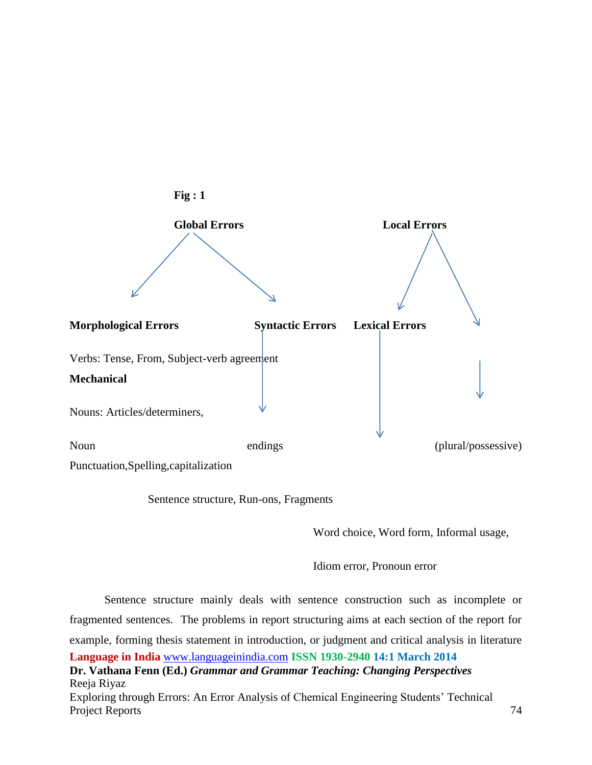

Sentence structure, Run-ons, Fragments

Word choice, Word form, Informal usage,

Idiom error, Pronoun error

**Language in India** [www.languageinindia.com](http://www.languageinindia.com/) **ISSN 1930-2940 14:1 March 2014 Dr. Vathana Fenn (Ed.)** *Grammar and Grammar Teaching: Changing Perspectives* Reeja Riyaz Exploring through Errors: An Error Analysis of Chemical Engineering Students' Technical Project Reports 74 Sentence structure mainly deals with sentence construction such as incomplete or fragmented sentences. The problems in report structuring aims at each section of the report for example, forming thesis statement in introduction, or judgment and critical analysis in literature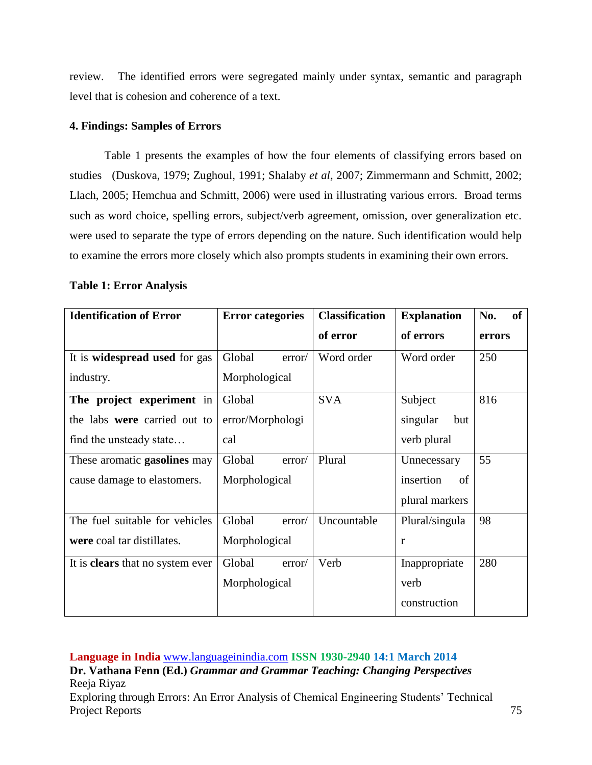review. The identified errors were segregated mainly under syntax, semantic and paragraph level that is cohesion and coherence of a text.

#### **4. Findings: Samples of Errors**

Table 1 presents the examples of how the four elements of classifying errors based on studies (Duskova, 1979; Zughoul, 1991; Shalaby *et al*, 2007; Zimmermann and Schmitt, 2002; Llach, 2005; Hemchua and Schmitt, 2006) were used in illustrating various errors. Broad terms such as word choice, spelling errors, subject/verb agreement, omission, over generalization etc. were used to separate the type of errors depending on the nature. Such identification would help to examine the errors more closely which also prompts students in examining their own errors.

#### **Table 1: Error Analysis**

| <b>Identification of Error</b>          | <b>Error categories</b> | <b>Classification</b> | <b>Explanation</b> | No.<br><b>of</b> |
|-----------------------------------------|-------------------------|-----------------------|--------------------|------------------|
|                                         |                         | of error              | of errors          | errors           |
| It is widespread used for gas           | Global<br>error/        | Word order            | Word order         | 250              |
| industry.                               | Morphological           |                       |                    |                  |
| The project experiment in               | Global                  | <b>SVA</b>            | Subject            | 816              |
| the labs were carried out to            | error/Morphologi        |                       | singular<br>but    |                  |
| find the unsteady state                 | cal                     |                       | verb plural        |                  |
| These aromatic <b>gasolines</b> may     | Global<br>error/        | Plural                | Unnecessary        | 55               |
| cause damage to elastomers.             | Morphological           |                       | insertion<br>of    |                  |
|                                         |                         |                       | plural markers     |                  |
| The fuel suitable for vehicles          | Global<br>error/        | Uncountable           | Plural/singula     | 98               |
| were coal tar distillates.              | Morphological           |                       | r                  |                  |
| It is <b>clears</b> that no system ever | Global<br>error/        | Verb                  | Inappropriate      | 280              |
|                                         | Morphological           |                       | verb               |                  |
|                                         |                         |                       | construction       |                  |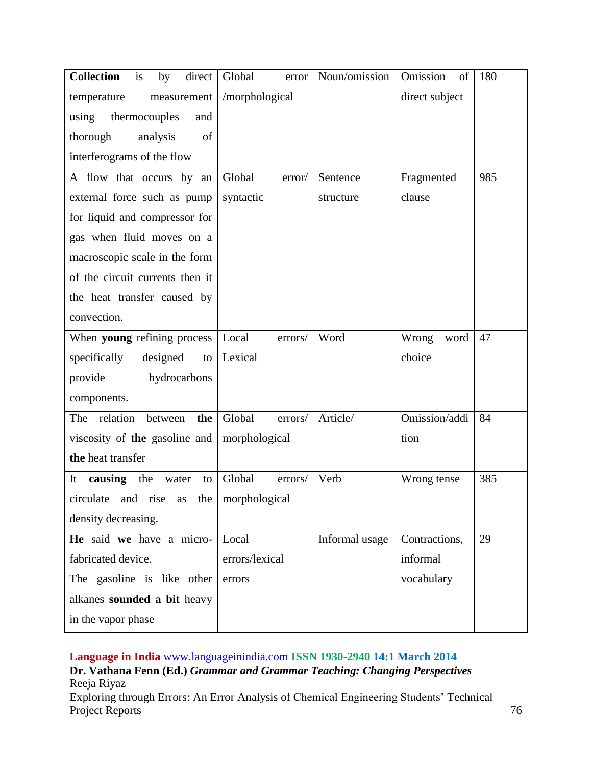| <b>Collection</b><br>is<br>direct<br>by | Global<br>error   | Noun/omission  | Omission<br>of | 180 |
|-----------------------------------------|-------------------|----------------|----------------|-----|
| temperature<br>measurement              | /morphological    |                | direct subject |     |
| using<br>thermocouples<br>and           |                   |                |                |     |
| thorough<br>analysis<br>of              |                   |                |                |     |
| interferograms of the flow              |                   |                |                |     |
| A flow that occurs by an                | Global<br>error/  | Sentence       | Fragmented     | 985 |
| external force such as pump             | syntactic         | structure      | clause         |     |
| for liquid and compressor for           |                   |                |                |     |
| gas when fluid moves on a               |                   |                |                |     |
| macroscopic scale in the form           |                   |                |                |     |
| of the circuit currents then it         |                   |                |                |     |
| the heat transfer caused by             |                   |                |                |     |
| convection.                             |                   |                |                |     |
| When young refining process             | Local<br>errors/  | Word           | Wrong<br>word  | 47  |
| specifically<br>designed<br>to          | Lexical           |                | choice         |     |
| hydrocarbons<br>provide                 |                   |                |                |     |
| components.                             |                   |                |                |     |
| relation<br>The<br>the<br>between       | Global<br>errors/ | Article/       | Omission/addi  | 84  |
| viscosity of the gasoline and           | morphological     |                | tion           |     |
| the heat transfer                       |                   |                |                |     |
| It<br>causing the<br>water<br>to        | Global<br>errors/ | Verb           | Wrong tense    | 385 |
| circulate and rise as the morphological |                   |                |                |     |
| density decreasing.                     |                   |                |                |     |
| He said we have a micro-                | Local             | Informal usage | Contractions,  | 29  |
| fabricated device.                      | errors/lexical    |                | informal       |     |
| The gasoline is like other              | errors            |                | vocabulary     |     |
| alkanes sounded a bit heavy             |                   |                |                |     |
| in the vapor phase                      |                   |                |                |     |

**Language in India** [www.languageinindia.com](http://www.languageinindia.com/) **ISSN 1930-2940 14:1 March 2014**

**Dr. Vathana Fenn (Ed.)** *Grammar and Grammar Teaching: Changing Perspectives* Reeja Riyaz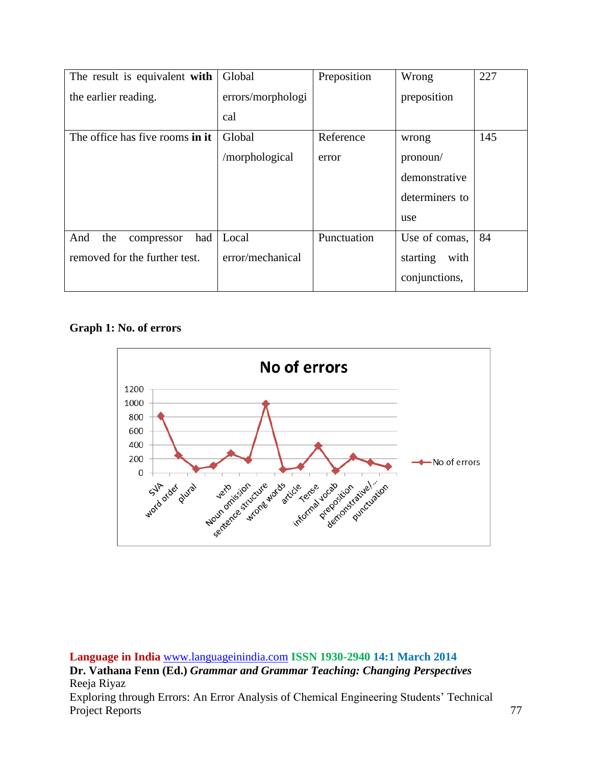| The result is equivalent with   | Global            | Preposition | Wrong            | 227 |
|---------------------------------|-------------------|-------------|------------------|-----|
| the earlier reading.            | errors/morphologi |             | preposition      |     |
|                                 | cal               |             |                  |     |
| The office has five rooms in it | Global            | Reference   | wrong            | 145 |
|                                 | /morphological    | error       | pronoun/         |     |
|                                 |                   |             | demonstrative    |     |
|                                 |                   |             | determiners to   |     |
|                                 |                   |             | use              |     |
| the<br>And<br>had<br>compressor | Local             | Punctuation | Use of comas,    | 84  |
| removed for the further test.   | error/mechanical  |             | with<br>starting |     |
|                                 |                   |             | conjunctions,    |     |

## **Graph 1: No. of errors**

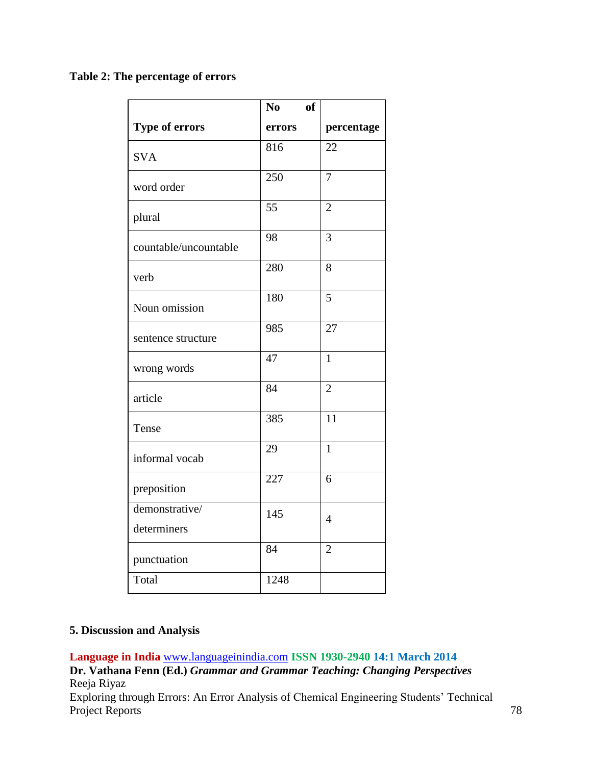**Table 2: The percentage of errors** 

|                       | No<br><b>of</b> |                |
|-----------------------|-----------------|----------------|
| <b>Type of errors</b> | errors          | percentage     |
| <b>SVA</b>            | 816             | 22             |
| word order            | 250             | $\overline{7}$ |
| plural                | 55              | $\overline{2}$ |
| countable/uncountable | 98              | 3              |
| verb                  | 280             | 8              |
| Noun omission         | 180             | $\overline{5}$ |
| sentence structure    | 985             | 27             |
| wrong words           | 47              | $\mathbf{1}$   |
| article               | 84              | $\overline{2}$ |
| Tense                 | 385             | 11             |
| informal vocab        | 29              | $\overline{1}$ |
| preposition           | 227             | 6              |
| demonstrative/        | 145             | $\overline{4}$ |
| determiners           |                 |                |
| punctuation           | 84              | $\overline{2}$ |
| Total                 | 1248            |                |

## **5. Discussion and Analysis**

**Language in India** [www.languageinindia.com](http://www.languageinindia.com/) **ISSN 1930-2940 14:1 March 2014**

**Dr. Vathana Fenn (Ed.)** *Grammar and Grammar Teaching: Changing Perspectives* Reeja Riyaz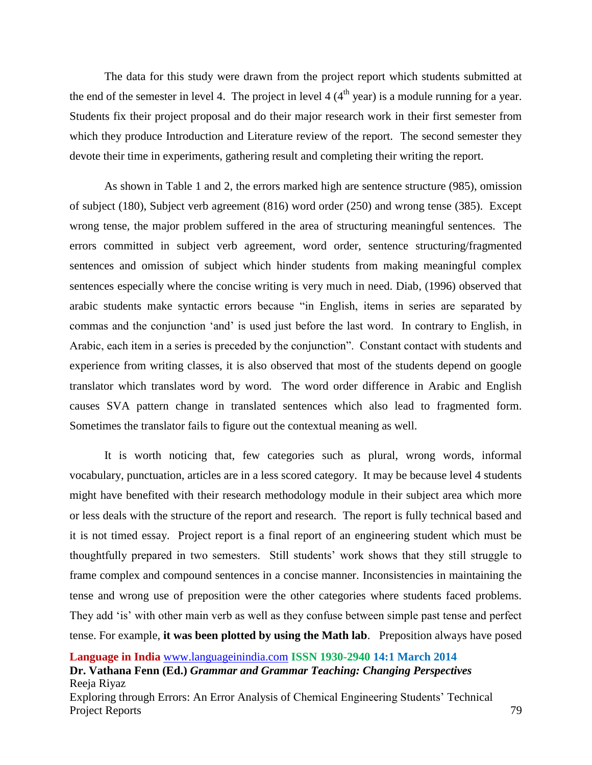The data for this study were drawn from the project report which students submitted at the end of the semester in level 4. The project in level 4  $(4<sup>th</sup>$  year) is a module running for a year. Students fix their project proposal and do their major research work in their first semester from which they produce Introduction and Literature review of the report. The second semester they devote their time in experiments, gathering result and completing their writing the report.

As shown in Table 1 and 2, the errors marked high are sentence structure (985), omission of subject (180), Subject verb agreement (816) word order (250) and wrong tense (385). Except wrong tense, the major problem suffered in the area of structuring meaningful sentences. The errors committed in subject verb agreement, word order, sentence structuring/fragmented sentences and omission of subject which hinder students from making meaningful complex sentences especially where the concise writing is very much in need. Diab, (1996) observed that arabic students make syntactic errors because "in English, items in series are separated by commas and the conjunction 'and' is used just before the last word. In contrary to English, in Arabic, each item in a series is preceded by the conjunction". Constant contact with students and experience from writing classes, it is also observed that most of the students depend on google translator which translates word by word. The word order difference in Arabic and English causes SVA pattern change in translated sentences which also lead to fragmented form. Sometimes the translator fails to figure out the contextual meaning as well.

It is worth noticing that, few categories such as plural, wrong words, informal vocabulary, punctuation, articles are in a less scored category. It may be because level 4 students might have benefited with their research methodology module in their subject area which more or less deals with the structure of the report and research. The report is fully technical based and it is not timed essay. Project report is a final report of an engineering student which must be thoughtfully prepared in two semesters. Still students' work shows that they still struggle to frame complex and compound sentences in a concise manner. Inconsistencies in maintaining the tense and wrong use of preposition were the other categories where students faced problems. They add 'is' with other main verb as well as they confuse between simple past tense and perfect tense. For example, **it was been plotted by using the Math lab**. Preposition always have posed

**Dr. Vathana Fenn (Ed.)** *Grammar and Grammar Teaching: Changing Perspectives* Reeja Riyaz

**Language in India** [www.languageinindia.com](http://www.languageinindia.com/) **ISSN 1930-2940 14:1 March 2014**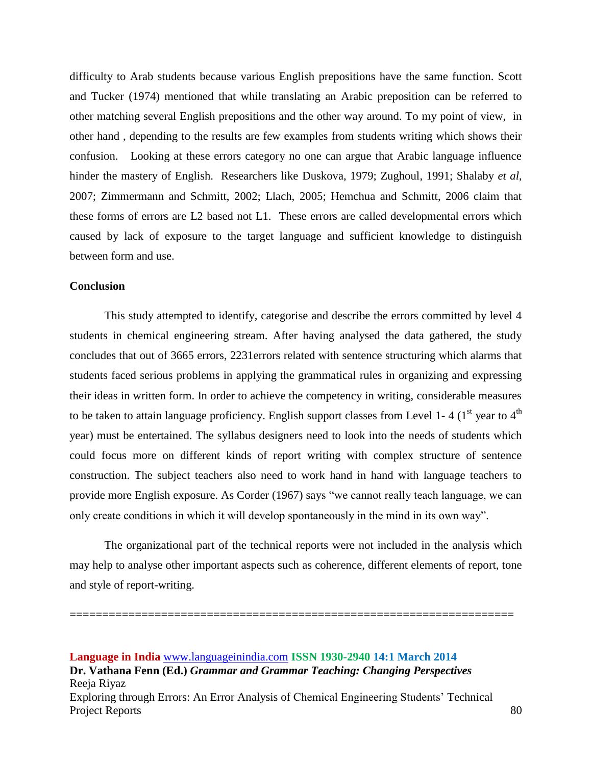difficulty to Arab students because various English prepositions have the same function. Scott and Tucker (1974) mentioned that while translating an Arabic preposition can be referred to other matching several English prepositions and the other way around. To my point of view, in other hand , depending to the results are few examples from students writing which shows their confusion. Looking at these errors category no one can argue that Arabic language influence hinder the mastery of English. Researchers like Duskova, 1979; Zughoul, 1991; Shalaby *et al*, 2007; Zimmermann and Schmitt, 2002; Llach, 2005; Hemchua and Schmitt, 2006 claim that these forms of errors are L2 based not L1. These errors are called developmental errors which caused by lack of exposure to the target language and sufficient knowledge to distinguish between form and use.

#### **Conclusion**

This study attempted to identify, categorise and describe the errors committed by level 4 students in chemical engineering stream. After having analysed the data gathered, the study concludes that out of 3665 errors, 2231errors related with sentence structuring which alarms that students faced serious problems in applying the grammatical rules in organizing and expressing their ideas in written form. In order to achieve the competency in writing, considerable measures to be taken to attain language proficiency. English support classes from Level 1-4 ( $1<sup>st</sup>$  year to  $4<sup>th</sup>$ ) year) must be entertained. The syllabus designers need to look into the needs of students which could focus more on different kinds of report writing with complex structure of sentence construction. The subject teachers also need to work hand in hand with language teachers to provide more English exposure. As Corder (1967) says "we cannot really teach language, we can only create conditions in which it will develop spontaneously in the mind in its own way".

The organizational part of the technical reports were not included in the analysis which may help to analyse other important aspects such as coherence, different elements of report, tone and style of report-writing.

====================================================================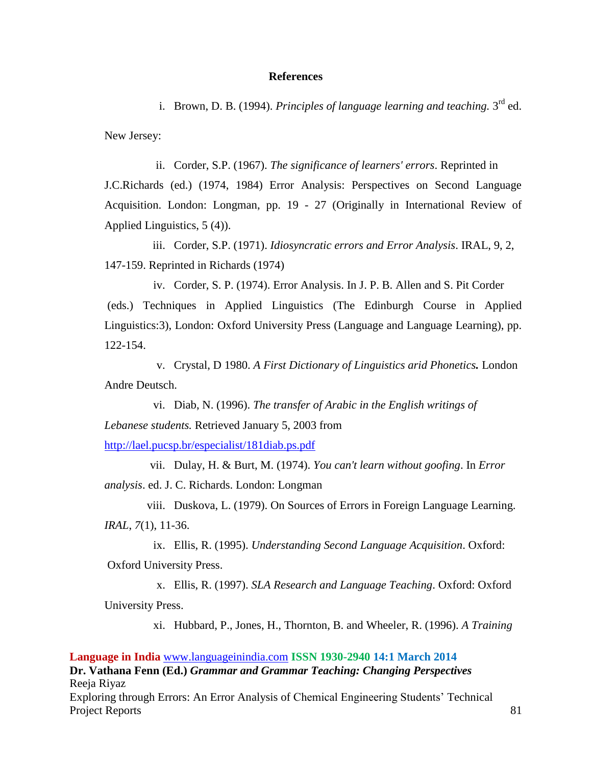#### **References**

i. Brown, D. B. (1994). *Principles of language learning and teaching*. 3<sup>rd</sup> ed. New Jersey:

ii. Corder, S.P. (1967). *The significance of learners' errors*. Reprinted in J.C.Richards (ed.) (1974, 1984) Error Analysis: Perspectives on Second Language Acquisition. London: Longman, pp. 19 - 27 (Originally in International Review of Applied Linguistics, 5 (4)).

iii. Corder, S.P. (1971). *Idiosyncratic errors and Error Analysis*. IRAL, 9, 2, 147-159. Reprinted in Richards (1974)

iv. Corder, S. P. (1974). Error Analysis. In J. P. B. Allen and S. Pit Corder (eds.) Techniques in Applied Linguistics (The Edinburgh Course in Applied Linguistics:3), London: Oxford University Press (Language and Language Learning), pp. 122-154.

v. Crystal, D 1980. *A First Dictionary of Linguistics arid Phonetics.* London Andre Deutsch.

vi. Diab, N. (1996). *The transfer of Arabic in the English writings of Lebanese students.* Retrieved January 5, 2003 from

<http://lael.pucsp.br/especialist/181diab.ps.pdf>

vii. Dulay, H. & Burt, M. (1974). *You can't learn without goofing*. In *Error analysis*. ed. J. C. Richards. London: Longman

viii. Duskova, L. (1979). On Sources of Errors in Foreign Language Learning. *IRAL*, *7*(1), 11-36.

ix. Ellis, R. (1995). *Understanding Second Language Acquisition*. Oxford: Oxford University Press.

x. Ellis, R. (1997). *SLA Research and Language Teaching*. Oxford: Oxford University Press.

xi. Hubbard, P., Jones, H., Thornton, B. and Wheeler, R. (1996). *A Training*

#### **Language in India** [www.languageinindia.com](http://www.languageinindia.com/) **ISSN 1930-2940 14:1 March 2014**

**Dr. Vathana Fenn (Ed.)** *Grammar and Grammar Teaching: Changing Perspectives* Reeja Riyaz